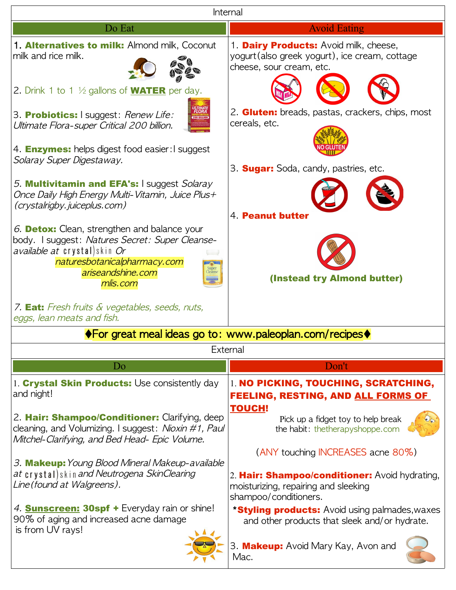| Internal                                                                                                                                                               |                                                                                                                      |
|------------------------------------------------------------------------------------------------------------------------------------------------------------------------|----------------------------------------------------------------------------------------------------------------------|
| Do Eat                                                                                                                                                                 | <b>Avoid Eating</b>                                                                                                  |
| 1. Alternatives to milk: Almond milk, Coconut<br>milk and rice milk.                                                                                                   | 1. Dairy Products: Avoid milk, cheese,<br>yogurt (also greek yogurt), ice cream, cottage<br>cheese, sour cream, etc. |
| 2. Drink 1 to 1 $\frac{1}{2}$ gallons of <b>WATER</b> per day.                                                                                                         |                                                                                                                      |
| 3. Probiotics: I suggest: Renew Life:<br>Ultimate Flora-super Critical 200 billion.                                                                                    | 2. <b>Gluten:</b> breads, pastas, crackers, chips, most<br>cereals, etc.                                             |
| 4. <b>Enzymes:</b> helps digest food easier: I suggest<br>Solaray Super Digestaway.                                                                                    | 3. <b>Sugar:</b> Soda, candy, pastries, etc.                                                                         |
| 5. Multivitamin and EFA's: I suggest Solaray<br>Once Daily High Energy Multi-Vitamin, Juice Plus+<br>(crystalrigby.juiceplus.com)                                      | 4. Peanut butter                                                                                                     |
| 6. Detox: Clean, strengthen and balance your<br>body. I suggest: Natures Secret: Super Cleanse-<br><i>available at</i> crystal)skin Or<br>naturesbotanicalpharmacy.com |                                                                                                                      |
| Super<br>Cleanse<br>ariseandshine.com<br>mlis.com                                                                                                                      | (Instead try Almond butter)                                                                                          |
| 7. <b>Eat:</b> Fresh fruits & vegetables, seeds, nuts,<br>eggs, lean meats and fish.                                                                                   |                                                                                                                      |
| $\blacklozenge$ For great meal ideas go to: www.paleoplan.com/recipes $\blacklozenge$                                                                                  |                                                                                                                      |
| External                                                                                                                                                               |                                                                                                                      |
| Do                                                                                                                                                                     | Don't                                                                                                                |
| 1. Crystal Skin Products: Use consistently day<br>and night!                                                                                                           | 1. NO PICKING, TOUCHING, SCRATCHING,<br><b>FEELING, RESTING, AND ALL FORMS OF</b>                                    |
| 2. Hair: Shampoo/Conditioner: Clarifying, deep<br>cleaning, and Volumizing. I suggest: Nioxin #1, Paul<br>Mitchel-Clarifying, and Bed Head- Epic Volume.               | <b>TOUCH!</b><br>Pick up a fidget toy to help break<br>the habit: thetherapyshoppe.com                               |
|                                                                                                                                                                        | (ANY touching INCREASES acne 80%)                                                                                    |
| 3. Makeup: Young Blood Mineral Makeup-available<br>at crystal) skin and Neutrogena SkinClearing<br>Line (found at Walgreens).                                          | 2. Hair: Shampoo/conditioner: Avoid hydrating,<br>moisturizing, repairing and sleeking<br>shampoo/conditioners.      |
| 4. <b>Sunscreen: 30spf +</b> Everyday rain or shine!<br>90% of aging and increased acne damage<br>is from UV rays!                                                     | <b>*Styling products:</b> Avoid using palmades, waxes<br>and other products that sleek and/or hydrate.               |
|                                                                                                                                                                        | 3. Makeup: Avoid Mary Kay, Avon and<br>Mac.                                                                          |